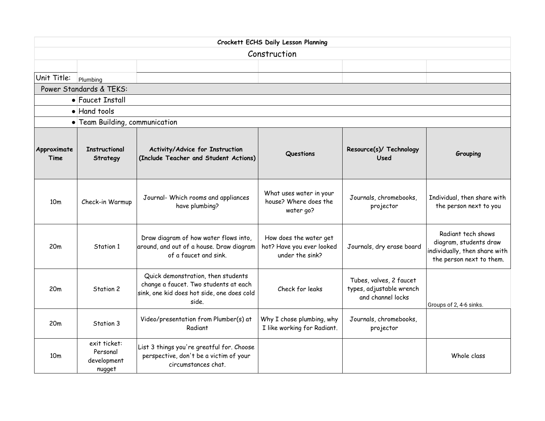| Crockett ECHS Daily Lesson Planning |                                                   |                                                                                                                                    |                                                                        |                                                                          |                                                                                                           |  |  |  |  |
|-------------------------------------|---------------------------------------------------|------------------------------------------------------------------------------------------------------------------------------------|------------------------------------------------------------------------|--------------------------------------------------------------------------|-----------------------------------------------------------------------------------------------------------|--|--|--|--|
| Construction                        |                                                   |                                                                                                                                    |                                                                        |                                                                          |                                                                                                           |  |  |  |  |
|                                     |                                                   |                                                                                                                                    |                                                                        |                                                                          |                                                                                                           |  |  |  |  |
| Unit Title:                         | Plumbing                                          |                                                                                                                                    |                                                                        |                                                                          |                                                                                                           |  |  |  |  |
| Power Standards & TEKS:             |                                                   |                                                                                                                                    |                                                                        |                                                                          |                                                                                                           |  |  |  |  |
| • Faucet Install                    |                                                   |                                                                                                                                    |                                                                        |                                                                          |                                                                                                           |  |  |  |  |
| • Hand tools                        |                                                   |                                                                                                                                    |                                                                        |                                                                          |                                                                                                           |  |  |  |  |
| • Team Building, communication      |                                                   |                                                                                                                                    |                                                                        |                                                                          |                                                                                                           |  |  |  |  |
| Approximate<br>Time                 | <b>Instructional</b><br>Strategy                  | Activity/Advice for Instruction<br>(Include Teacher and Student Actions)                                                           | Questions                                                              | Resource(s)/ Technology<br>Used                                          | Grouping                                                                                                  |  |  |  |  |
| 10 <sub>m</sub>                     | Check-in Warmup                                   | Journal- Which rooms and appliances<br>have plumbing?                                                                              | What uses water in your<br>house? Where does the<br>water go?          | Journals, chromebooks,<br>projector                                      | Individual, then share with<br>the person next to you                                                     |  |  |  |  |
| 20 <sub>m</sub>                     | Station 1                                         | Draw diagram of how water flows into,<br>around, and out of a house. Draw diagram<br>of a faucet and sink.                         | How does the water get<br>hot? Have you ever looked<br>under the sink? | Journals, dry erase board                                                | Radiant tech shows<br>diagram, students draw<br>individually, then share with<br>the person next to them. |  |  |  |  |
| 20 <sub>m</sub>                     | Station 2                                         | Quick demonstration, then students<br>change a faucet. Two students at each<br>sink, one kid does hot side, one does cold<br>side. | Check for leaks                                                        | Tubes, valves, 2 faucet<br>types, adjustable wrench<br>and channel locks | Groups of 2, 4-6 sinks.                                                                                   |  |  |  |  |
| 20 <sub>m</sub>                     | Station 3                                         | Video/presentation from Plumber(s) at<br>Radiant                                                                                   | Why I chose plumbing, why<br>I like working for Radiant.               | Journals, chromebooks,<br>projector                                      |                                                                                                           |  |  |  |  |
| 10 <sub>m</sub>                     | exit ticket:<br>Personal<br>development<br>nugget | List 3 things you're greatful for. Choose<br>perspective, don't be a victim of your<br>circumstances chat.                         |                                                                        |                                                                          | Whole class                                                                                               |  |  |  |  |